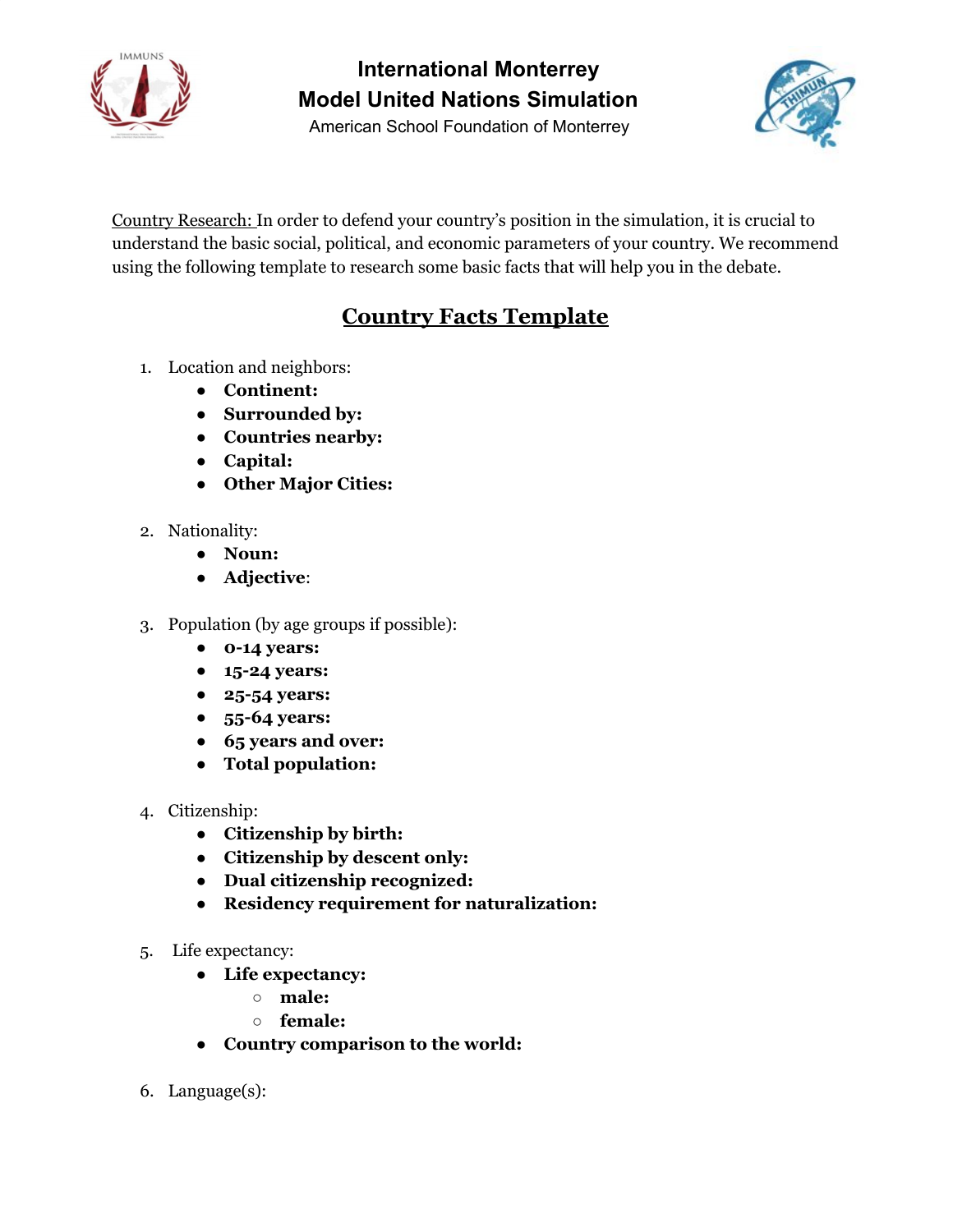

American School Foundation of Monterrey



Country Research: In order to defend your country's position in the simulation, it is crucial to understand the basic social, political, and economic parameters of your country. We recommend using the following template to research some basic facts that will help you in the debate.

#### **Country Facts Template**

- 1. Location and neighbors:
	- **Continent:**
	- **Surrounded by:**
	- **Countries nearby:**
	- **Capital:**
	- **● Other Major Cities:**
- 2. Nationality:
	- **Noun:**
	- **Adjective**:
- 3. Population (by age groups if possible):
	- **0-14 years:**
	- **15-24 years:**
	- **25-54 years:**
	- **55-64 years:**
	- **65 years and over:**
	- **Total population:**
- 4. Citizenship:
	- **Citizenship by birth:**
	- **Citizenship by descent only:**
	- **Dual citizenship recognized:**
	- **Residency requirement for naturalization:**
- 5. Life expectancy:
	- **Life expectancy:**
		- **male:**
		- **○ female:**
	- **Country comparison to the world:**
- 6. Language(s):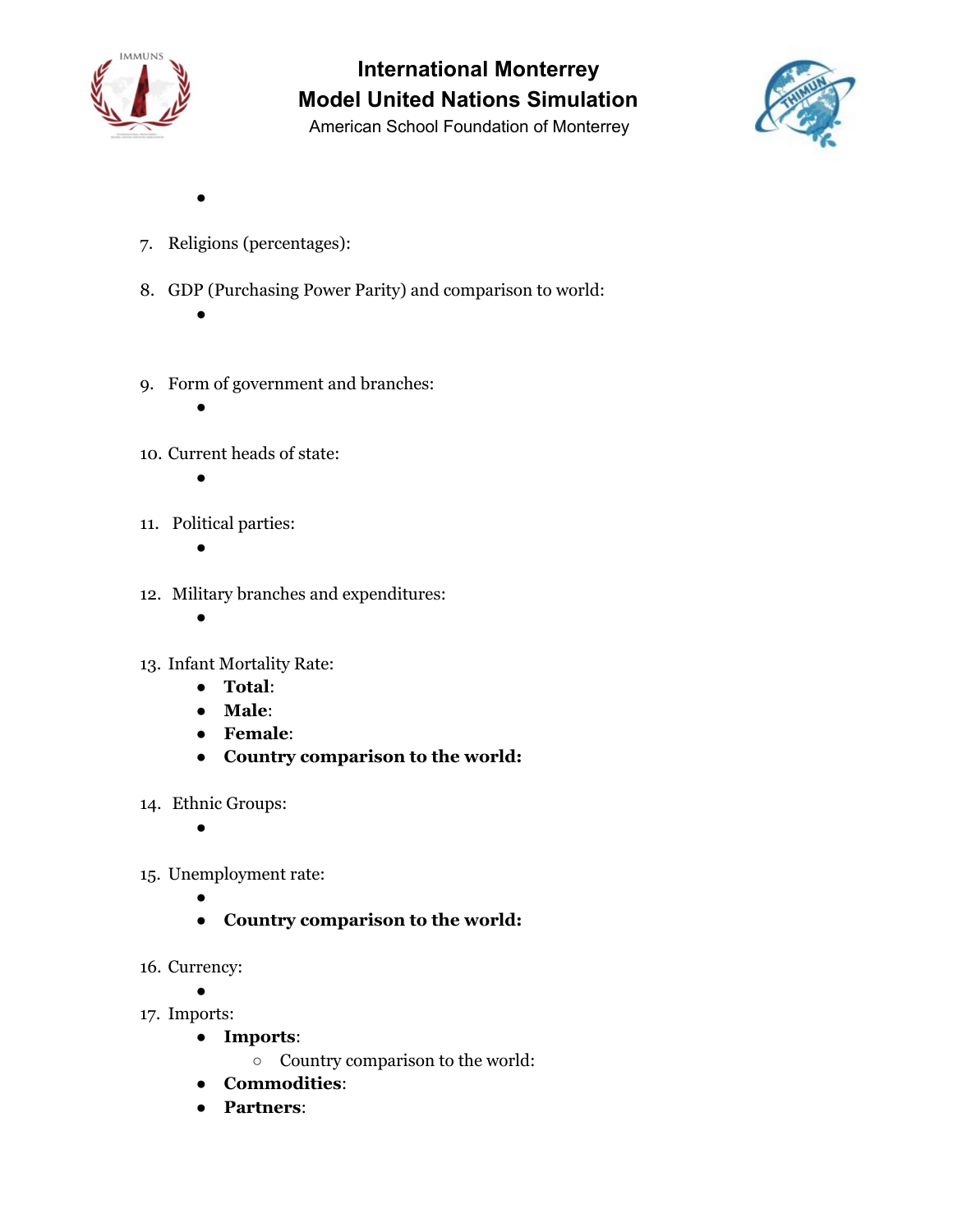

American School Foundation of Monterrey



- 7. Religions (percentages):
- 8. GDP (Purchasing Power Parity) and comparison to world:
	- $\bullet$

●

- 9. Form of government and branches:
	-

●

- 10. Current heads of state:
	- ●
- 11. Political parties:
	- ●
- 12. Military branches and expenditures:
	- $\bullet$
- 13. Infant Mortality Rate:
	- **Total**:
	- **Male**:
	- **Female**:
	- **Country comparison to the world:**
- 14. Ethnic Groups:
	- ●
- 15. Unemployment rate:
	- ●
	- **Country comparison to the world:**
- 16. Currency:
	- ●
- 17. Imports:
	- **Imports**:
		- Country comparison to the world:
	- **Commodities**:
	- **Partners**: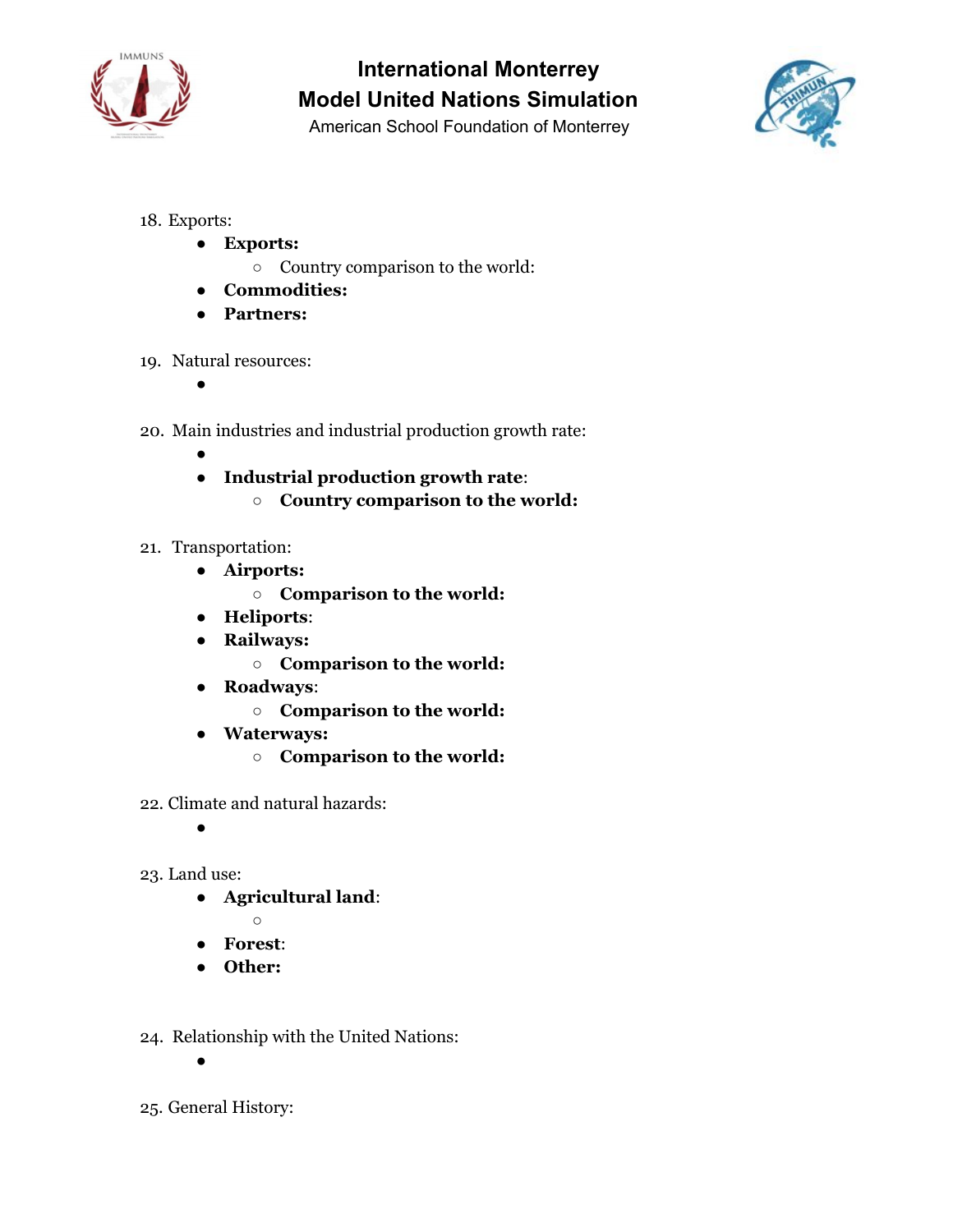

American School Foundation of Monterrey



- 18. Exports:
	- **Exports:**
		- Country comparison to the world:
	- **Commodities:**
	- **Partners:**
- 19. Natural resources:
	- **。**
- 20. Main industries and industrial production growth rate:
	- ● **Industrial production growth rate**:
		- **Country comparison to the world:**
- 21. Transportation:
	- **Airports:**
		- **Comparison to the world:**
	- **Heliports**:
	- **Railways:**
		- **Comparison to the world:**
	- **Roadways**:
		- **Comparison to the world:**
	- **● Waterways:**
		- **Comparison to the world:**
- 22. Climate and natural hazards:
	- ●
- 23. Land use:
	- **Agricultural land**:
	- $\circ$ ● **Forest**:
	- **Other:**
- 24. Relationship with the United Nations:
	- ●
- 25. General History: